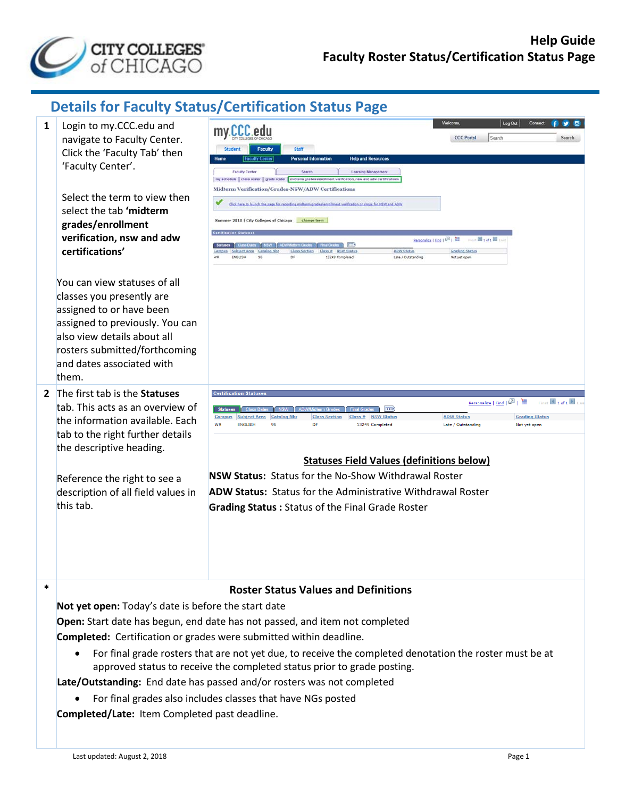

## **Details for Faculty Status/Certification Status Page**

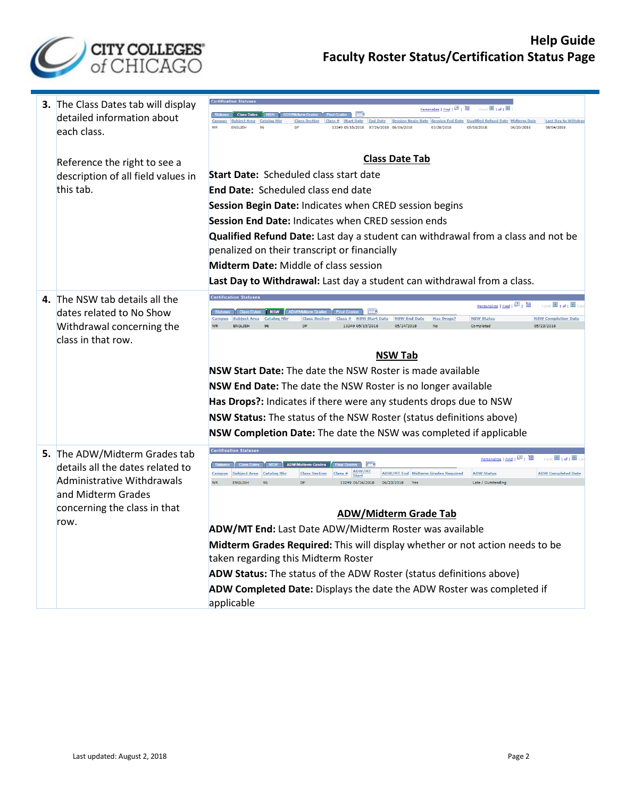

| 3. The Class Dates tab will display<br>detailed information about<br>each class.                                                                              | Personalize   Find   (21   11)<br>$\left\  \cdot \right\ $<br>Class # Start Date End Date Session Begin Date Session End Date Qualified Refund Date Midterm Date<br><b>Last Day to Withdr</b><br><b>Class Section</b><br>13249 05/15/2018 07/26/2018 06/06/2018<br>07/28/2018<br>05/18/2018<br>06/20/2018<br>08/04/2018<br><b>ENGLISE</b><br>DF                                                                                                                                                                                                                                                                                                                                                                                                        |  |  |  |  |  |
|---------------------------------------------------------------------------------------------------------------------------------------------------------------|--------------------------------------------------------------------------------------------------------------------------------------------------------------------------------------------------------------------------------------------------------------------------------------------------------------------------------------------------------------------------------------------------------------------------------------------------------------------------------------------------------------------------------------------------------------------------------------------------------------------------------------------------------------------------------------------------------------------------------------------------------|--|--|--|--|--|
| Reference the right to see a<br>description of all field values in<br>this tab.                                                                               | <b>Class Date Tab</b><br><b>Start Date: Scheduled class start date</b><br><b>End Date: Scheduled class end date</b><br>Session Begin Date: Indicates when CRED session begins<br>Session End Date: Indicates when CRED session ends<br>Qualified Refund Date: Last day a student can withdrawal from a class and not be<br>penalized on their transcript or financially<br>Midterm Date: Middle of class session<br>Last Day to Withdrawal: Last day a student can withdrawal from a class.                                                                                                                                                                                                                                                            |  |  |  |  |  |
| 4. The NSW tab details all the<br>dates related to No Show<br>Withdrawal concerning the<br>class in that row.                                                 | Personalize   Find   (21)   200<br>$1$ of 1<br>First<br><b>NSW</b><br><b>NSW Completion Date</b><br><b>NSW Status</b><br><b>Catalog Nbr</b><br><b>NSW End Date</b><br><b>Has Drops?</b><br><b>Subject Area</b><br><b>Class Section</b><br>Class#<br><b>NSW Start Date</b><br>05/23/2018<br><b>ENGLISH</b><br>13249 05/15/2018<br>05/24/2018<br>Completed<br><b>NSW Tab</b><br>NSW Start Date: The date the NSW Roster is made available<br>NSW End Date: The date the NSW Roster is no longer available<br>Has Drops?: Indicates if there were any students drops due to NSW<br>NSW Status: The status of the NSW Roster (status definitions above)<br>NSW Completion Date: The date the NSW was completed if applicable                               |  |  |  |  |  |
| 5. The ADW/Midterm Grades tab<br>details all the dates related to<br>Administrative Withdrawals<br>and Midterm Grades<br>concerning the class in that<br>row. | First $\overline{\mathbb{1}}$ 1 of 1<br>Class Dates   NSW  <br><b>ADW/Midterm Grades</b><br>ADW/MT<br><b>ADW Completed Date</b><br>Campus<br>Subject Area Catalog Nbr<br><b>Class Section</b><br>Class#<br><b>ADW/MT End Midterm Grades Required</b><br><b>ADW Status</b><br><b>WR</b><br><b>ENGLISH</b><br>13249 06/16/2018<br>06/23/2018<br>Late / Outstanding<br>Ves<br><b>ADW/Midterm Grade Tab</b><br>ADW/MT End: Last Date ADW/Midterm Roster was available<br>Midterm Grades Required: This will display whether or not action needs to be<br>taken regarding this Midterm Roster<br>ADW Status: The status of the ADW Roster (status definitions above)<br>ADW Completed Date: Displays the date the ADW Roster was completed if<br>applicable |  |  |  |  |  |